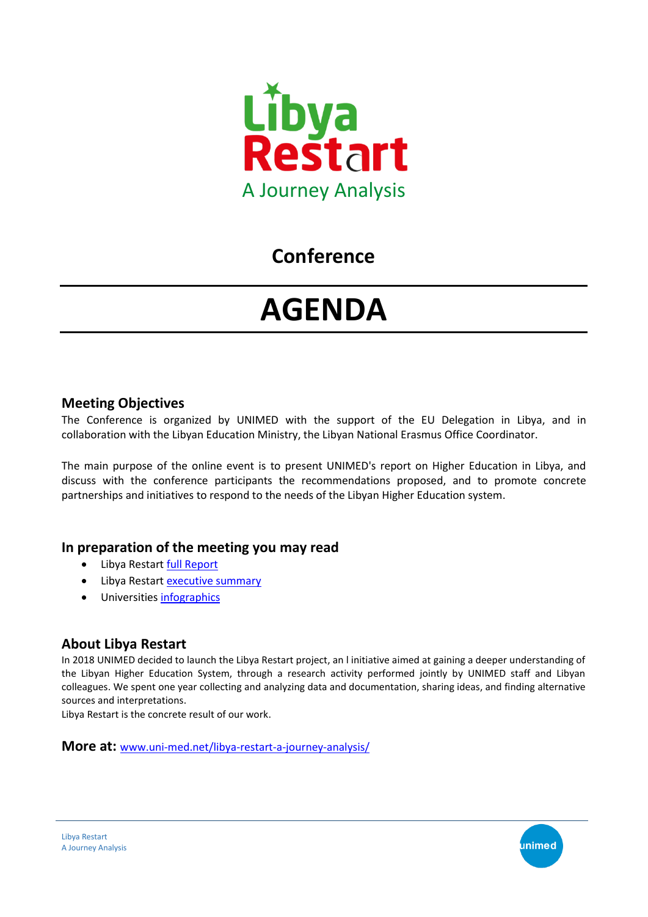

## **Conference**

# **AGENDA**

#### **Meeting Objectives**

The Conference is organized by UNIMED with the support of the EU Delegation in Libya, and in collaboration with the Libyan Education Ministry, the Libyan National Erasmus Office Coordinator.

The main purpose of the online event is to present UNIMED's report on Higher Education in Libya, and discuss with the conference participants the recommendations proposed, and to promote concrete partnerships and initiatives to respond to the needs of the Libyan Higher Education system.

### **In preparation of the meeting you may read**

- Libya Restart [full Report](https://www.uni-med.net/?smd_process_download=1&download_id=38153)
- Libya Restart [executive summary](https://www.uni-med.net/wp-content/uploads/2020/01/Libya_Restart_final_compressed.pdf)
- Universitie[s infographics](https://www.uni-med.net/libya-restart-infographic-of-participating-universities/)

### **About Libya Restart**

In 2018 UNIMED decided to launch the Libya Restart project, an l initiative aimed at gaining a deeper understanding of the Libyan Higher Education System, through a research activity performed jointly by UNIMED staff and Libyan colleagues. We spent one year collecting and analyzing data and documentation, sharing ideas, and finding alternative sources and interpretations.

Libya Restart is the concrete result of our work.

**More at:** www.uni-med.net/libya-restart-a-journey-analysis/